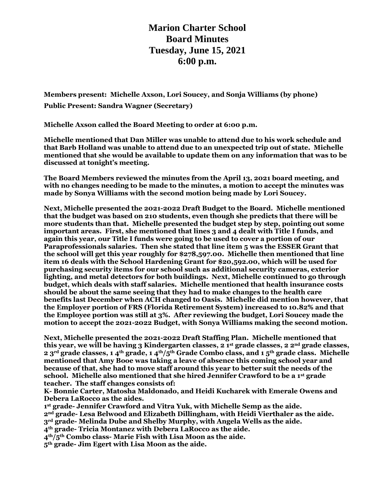**Marion Charter School Board Minutes Tuesday, June 15, 2021 6:00 p.m.**

**Members present: Michelle Axson, Lori Soucey, and Sonja Williams (by phone) Public Present: Sandra Wagner (Secretary)**

**Michelle Axson called the Board Meeting to order at 6:00 p.m.**

**Michelle mentioned that Dan Miller was unable to attend due to his work schedule and that Barb Holland was unable to attend due to an unexpected trip out of state. Michelle mentioned that she would be available to update them on any information that was to be discussed at tonight's meeting.**

**The Board Members reviewed the minutes from the April 13, 2021 board meeting, and with no changes needing to be made to the minutes, a motion to accept the minutes was made by Sonya Williams with the second motion being made by Lori Soucey.**

**Next, Michelle presented the 2021-2022 Draft Budget to the Board. Michelle mentioned that the budget was based on 210 students, even though she predicts that there will be more students than that. Michelle presented the budget step by step, pointing out some important areas. First, she mentioned that lines 3 and 4 dealt with Title I funds, and again this year, our Title I funds were going to be used to cover a portion of our Paraprofessionals salaries. Then she stated that line item 5 was the ESSER Grant that the school will get this year roughly for \$278,597.00. Michelle then mentioned that line item 16 deals with the School Hardening Grant for \$20,592.00, which will be used for purchasing security items for our school such as additional security cameras, exterior lighting, and metal detectors for both buildings. Next, Michelle continued to go through budget, which deals with staff salaries. Michelle mentioned that health insurance costs should be about the same seeing that they had to make changes to the health care benefits last December when ACH changed to Oasis. Michelle did mention however, that the Employer portion of FRS (Florida Retirement System) increased to 10.82% and that the Employee portion was still at 3%. After reviewing the budget, Lori Soucey made the motion to accept the 2021-2022 Budget, with Sonya Williams making the second motion.**

**Next, Michelle presented the 2021-2022 Draft Staffing Plan. Michelle mentioned that this year, we will be having 3 Kindergarten classes, 2 1st grade classes, 2 2nd grade classes, 2 3rd grade classes, 1 4th grade, 1 4th/5th Grade Combo class, and 1 5th grade class. Michelle mentioned that Amy Booe was taking a leave of absence this coming school year and because of that, she had to move staff around this year to better suit the needs of the school. Michelle also mentioned that she hired Jennifer Crawford to be a 1st grade teacher. The staff changes consists of:**

**K- Bonnie Carter, Matosha Maldonado, and Heidi Kucharek with Emerale Owens and Debera LaRocco as the aides.**

 **st grade- Jennifer Crawford and Vitra Yuk, with Michelle Semp as the aide. nd grade- Lesa Belwood and Elizabeth Dillingham, with Heidi Vierthaler as the aide. rd grade- Melinda Dube and Shelby Murphy, with Angela Wells as the aide. th grade- Tricia Montanez with Debera LaRocco as the aide. th/5th Combo class- Marie Fish with Lisa Moon as the aide.**

**5th grade- Jim Egert with Lisa Moon as the aide.**